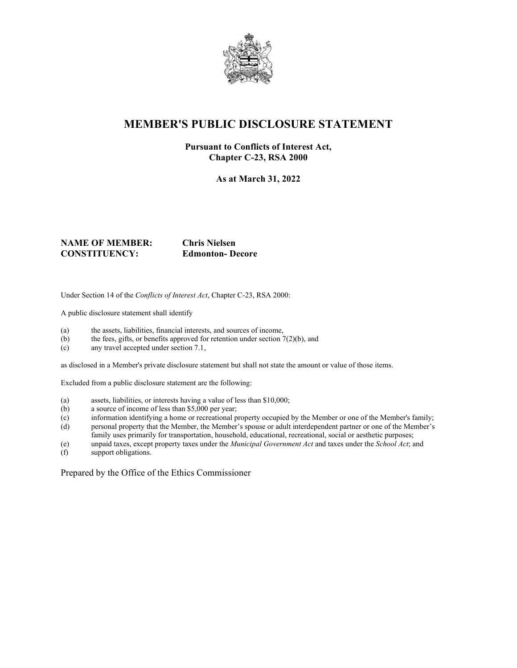

### **MEMBER'S PUBLIC DISCLOSURE STATEMENT**

#### **Pursuant to Conflicts of Interest Act, Chapter C-23, RSA 2000**

**As at March 31, 2022**

#### **NAME OF MEMBER: Chris Nielsen CONSTITUENCY: Edmonton- Decore**

Under Section 14 of the *Conflicts of Interest Act*, Chapter C-23, RSA 2000:

A public disclosure statement shall identify

- (a) the assets, liabilities, financial interests, and sources of income,
- (b) the fees, gifts, or benefits approved for retention under section  $7(2)(b)$ , and
- (c) any travel accepted under section 7.1,

as disclosed in a Member's private disclosure statement but shall not state the amount or value of those items.

Excluded from a public disclosure statement are the following:

- (a) assets, liabilities, or interests having a value of less than \$10,000;
- (b) a source of income of less than \$5,000 per year;
- (c) information identifying a home or recreational property occupied by the Member or one of the Member's family;
- (d) personal property that the Member, the Member's spouse or adult interdependent partner or one of the Member's family uses primarily for transportation, household, educational, recreational, social or aesthetic purposes;
- (e) unpaid taxes, except property taxes under the *Municipal Government Act* and taxes under the *School Act*; and
- support obligations.

Prepared by the Office of the Ethics Commissioner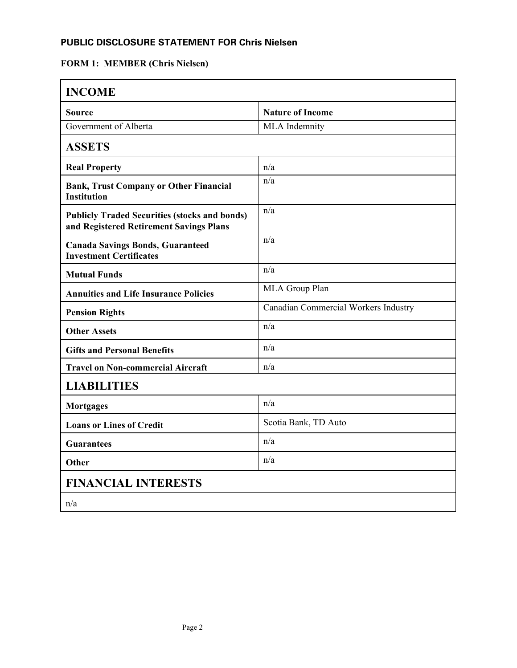### **PUBLIC DISCLOSURE STATEMENT FOR Chris Nielsen**

# **FORM 1: MEMBER (Chris Nielsen)**

| <b>INCOME</b>                                                                                   |                                      |
|-------------------------------------------------------------------------------------------------|--------------------------------------|
| Source                                                                                          | <b>Nature of Income</b>              |
| Government of Alberta                                                                           | MLA Indemnity                        |
| <b>ASSETS</b>                                                                                   |                                      |
| <b>Real Property</b>                                                                            | n/a                                  |
| <b>Bank, Trust Company or Other Financial</b><br><b>Institution</b>                             | n/a                                  |
| <b>Publicly Traded Securities (stocks and bonds)</b><br>and Registered Retirement Savings Plans | n/a                                  |
| <b>Canada Savings Bonds, Guaranteed</b><br><b>Investment Certificates</b>                       | n/a                                  |
| <b>Mutual Funds</b>                                                                             | n/a                                  |
| <b>Annuities and Life Insurance Policies</b>                                                    | MLA Group Plan                       |
| <b>Pension Rights</b>                                                                           | Canadian Commercial Workers Industry |
| <b>Other Assets</b>                                                                             | n/a                                  |
| <b>Gifts and Personal Benefits</b>                                                              | n/a                                  |
| <b>Travel on Non-commercial Aircraft</b>                                                        | n/a                                  |
| <b>LIABILITIES</b>                                                                              |                                      |
| <b>Mortgages</b>                                                                                | n/a                                  |
| <b>Loans or Lines of Credit</b>                                                                 | Scotia Bank, TD Auto                 |
| <b>Guarantees</b>                                                                               | n/a                                  |
| Other                                                                                           | n/a                                  |
| <b>FINANCIAL INTERESTS</b>                                                                      |                                      |
| n/a                                                                                             |                                      |